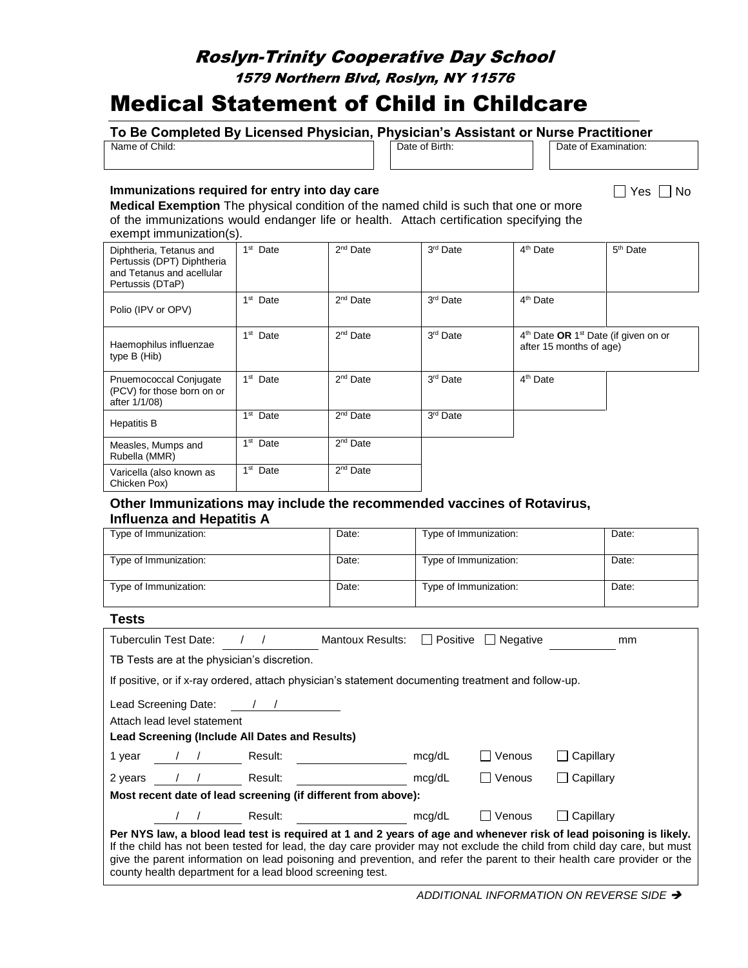# Roslyn-Trinity Cooperative Day School

## 1579 Northern Blvd, Roslyn, NY 11576

# Medical Statement of Child in Childcare

# **To Be Completed By Licensed Physician, Physician's Assistant or Nurse Practitioner**<br> **The Stand Completed By Licensed Physician, Physician's Assistant or Nurse Practitioner**

Date of Birth: Date of Examination:

 $\Box$  Yes  $\Box$  No

#### **Immunizations required for entry into day care**

**Medical Exemption** The physical condition of the named child is such that one or more of the immunizations would endanger life or health. Attach certification specifying the exempt immunization(s).

| Diphtheria, Tetanus and<br>Pertussis (DPT) Diphtheria<br>and Tetanus and acellular<br>Pertussis (DTaP) | 1 <sup>st</sup> Date    | $2nd$ Date           | 3 <sup>rd</sup> Date | 4 <sup>th</sup> Date                                                                    | $5th$ Date |
|--------------------------------------------------------------------------------------------------------|-------------------------|----------------------|----------------------|-----------------------------------------------------------------------------------------|------------|
| Polio (IPV or OPV)                                                                                     | 1 <sup>st</sup> Date    | $2nd$ Date           | 3rd Date             | 4 <sup>th</sup> Date                                                                    |            |
| Haemophilus influenzae<br>type B (Hib)                                                                 | 1 <sup>st</sup> Date    | $2nd$ Date           | 3 <sup>rd</sup> Date | 4 <sup>th</sup> Date OR 1 <sup>st</sup> Date (if given on or<br>after 15 months of age) |            |
| Pnuemococcal Conjugate<br>(PCV) for those born on or<br>after 1/1/08)                                  | 1 <sup>st</sup> Date    | $2nd$ Date           | 3rd Date             | 4 <sup>th</sup> Date                                                                    |            |
| <b>Hepatitis B</b>                                                                                     | 1 <sup>st</sup><br>Date | $2nd$ Date           | 3rd Date             |                                                                                         |            |
| Measles, Mumps and<br>Rubella (MMR)                                                                    | 1 <sup>st</sup> Date    | $2nd$ Date           |                      |                                                                                         |            |
| Varicella (also known as<br>Chicken Pox)                                                               | 1 <sup>st</sup> Date    | 2 <sup>nd</sup> Date |                      |                                                                                         |            |

#### **Other Immunizations may include the recommended vaccines of Rotavirus, Influenza and Hepatitis A**

| Type of Immunization:                                                                               | Date:                   | Type of Immunization:           | Date: |  |  |
|-----------------------------------------------------------------------------------------------------|-------------------------|---------------------------------|-------|--|--|
| Type of Immunization:                                                                               | Date:                   | Type of Immunization:           | Date: |  |  |
| Type of Immunization:                                                                               | Date:                   | Type of Immunization:           | Date: |  |  |
| <b>Tests</b>                                                                                        |                         |                                 |       |  |  |
| <b>Tuberculin Test Date:</b>                                                                        | <b>Mantoux Results:</b> | $\Box$ Positive $\Box$ Negative | mm    |  |  |
| TB Tests are at the physician's discretion.                                                         |                         |                                 |       |  |  |
| If positive, or if x-ray ordered, attach physician's statement documenting treatment and follow-up. |                         |                                 |       |  |  |
| Lead Screening Date:                                                                                |                         |                                 |       |  |  |

|                                                                                                                                                                                                                                                                                                                                                                                                                                       | =oaa ooroonnig bato:        |         |        |            |             |
|---------------------------------------------------------------------------------------------------------------------------------------------------------------------------------------------------------------------------------------------------------------------------------------------------------------------------------------------------------------------------------------------------------------------------------------|-----------------------------|---------|--------|------------|-------------|
|                                                                                                                                                                                                                                                                                                                                                                                                                                       | Attach lead level statement |         |        |            |             |
| <b>Lead Screening (Include All Dates and Results)</b>                                                                                                                                                                                                                                                                                                                                                                                 |                             |         |        |            |             |
| 1 year                                                                                                                                                                                                                                                                                                                                                                                                                                |                             | Result: | mcg/dL | Venous     | Capillary   |
| 2 years                                                                                                                                                                                                                                                                                                                                                                                                                               |                             | Result: | mcg/dL | ∏ Venous   | □ Capillary |
| Most recent date of lead screening (if different from above):                                                                                                                                                                                                                                                                                                                                                                         |                             |         |        |            |             |
|                                                                                                                                                                                                                                                                                                                                                                                                                                       |                             | Result: | mcg/dL | l I Venous | l Capillarv |
| Per NYS law, a blood lead test is required at 1 and 2 years of age and whenever risk of lead poisoning is likely.<br>If the child has not been tested for lead, the day care provider may not exclude the child from child day care, but must<br>give the parent information on lead poisoning and prevention, and refer the parent to their health care provider or the<br>county health department for a lead blood screening test. |                             |         |        |            |             |

*ADDITIONAL INFORMATION ON REVERSE SIDE* ➔